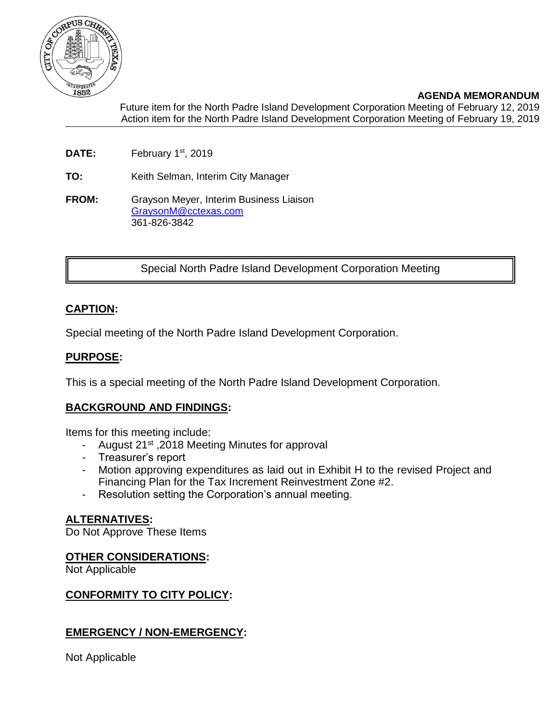

**AGENDA MEMORANDUM** Future item for the North Padre Island Development Corporation Meeting of February 12, 2019 Action item for the North Padre Island Development Corporation Meeting of February 19, 2019

- DATE: February 1<sup>st</sup>, 2019
- **TO:** Keith Selman, Interim City Manager
- **FROM:** Grayson Meyer, Interim Business Liaison [GraysonM@cctexas.com](mailto:GraysonM@cctexas.com) 361-826-3842

Special North Padre Island Development Corporation Meeting

## **CAPTION:**

Special meeting of the North Padre Island Development Corporation.

#### **PURPOSE:**

This is a special meeting of the North Padre Island Development Corporation.

#### **BACKGROUND AND FINDINGS:**

Items for this meeting include:

- August 21<sup>st</sup>, 2018 Meeting Minutes for approval
- Treasurer's report
- Motion approving expenditures as laid out in Exhibit H to the revised Project and Financing Plan for the Tax Increment Reinvestment Zone #2.
- Resolution setting the Corporation's annual meeting.

#### **ALTERNATIVES:**

Do Not Approve These Items

#### **OTHER CONSIDERATIONS:**

Not Applicable

#### **CONFORMITY TO CITY POLICY:**

#### **EMERGENCY / NON-EMERGENCY:**

Not Applicable